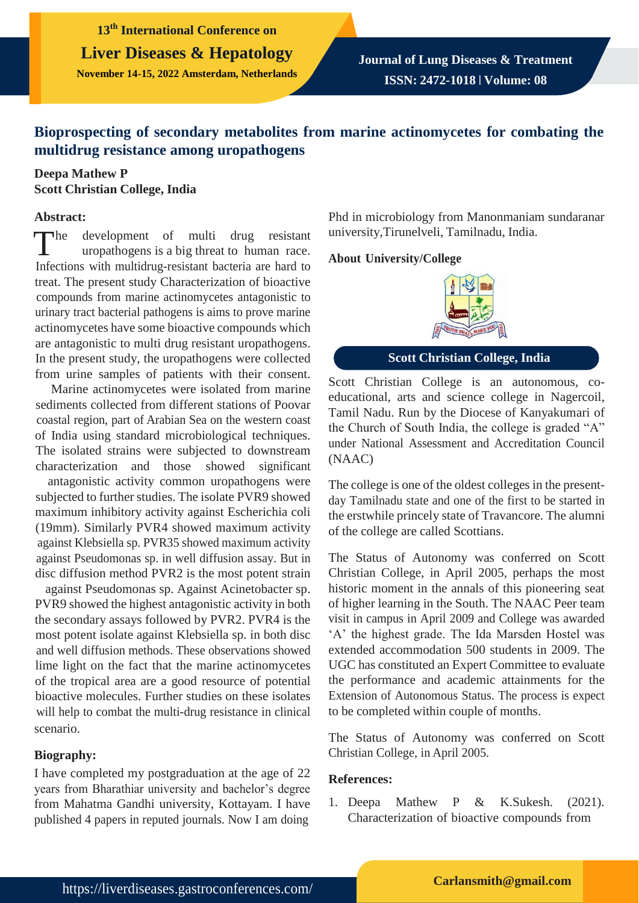**13th International Conference on Liver Diseases & Hepatology November 14-15, 2022 Amsterdam, Netherlands**

**Journal of Lung Diseases & Treatment ISSN: 2472-1018 | Volume: 08**

# **Bioprospecting of secondary metabolites from marine actinomycetes for combating the multidrug resistance among uropathogens**

## **Deepa Mathew P Scott Christian College, India**

#### **Abstract:**

 $\n **The**\n$ development of multi drug resistant uropathogens is a big threat to human race. Infections with multidrug-resistant bacteria are hard to treat. The present study Characterization of bioactive compounds from marine actinomycetes antagonistic to urinary tract bacterial pathogens is aims to prove marine actinomycetes have some bioactive compounds which are antagonistic to multi drug resistant uropathogens. In the present study, the uropathogens were collected from urine samples of patients with their consent.

Marine actinomycetes were isolated from marine sediments collected from different stations of Poovar coastal region, part of Arabian Sea on the western coast of India using standard microbiological techniques. The isolated strains were subjected to downstream characterization and those showed significant

antagonistic activity common uropathogens were subjected to further studies. The isolate PVR9 showed maximum inhibitory activity against Escherichia coli (19mm). Similarly PVR4 showed maximum activity against Klebsiella sp. PVR35 showed maximum activity against Pseudomonas sp. in well diffusion assay. But in disc diffusion method PVR2 is the most potent strain

against Pseudomonas sp. Against Acinetobacter sp. PVR9 showed the highest antagonistic activity in both the secondary assays followed by PVR2. PVR4 is the most potent isolate against Klebsiella sp. in both disc and well diffusion methods. These observations showed lime light on the fact that the marine actinomycetes of the tropical area are a good resource of potential bioactive molecules. Further studies on these isolates will help to combat the multi-drug resistance in clinical scenario.

### **Biography:**

I have completed my postgraduation at the age of 22 years from Bharathiar university and bachelor's degree from Mahatma Gandhi university, Kottayam. I have published 4 papers in reputed journals. Now I am doing

Phd in microbiology from Manonmaniam sundaranar university,Tirunelveli, Tamilnadu, India.

### **About University/College**



**Scott Christian College, India**

Scott Christian College is an autonomous, coeducational, arts and science college in Nagercoil, Tamil Nadu. Run by the Diocese of Kanyakumari of the Church of South India, the college is graded "A" under National Assessment and Accreditation Council (NAAC)

The college is one of the oldest colleges in the presentday Tamilnadu state and one of the first to be started in the erstwhile princely state of Travancore. The alumni of the college are called Scottians.

The Status of Autonomy was conferred on Scott Christian College, in April 2005, perhaps the most historic moment in the annals of this pioneering seat of higher learning in the South. The NAAC Peer team visit in campus in April 2009 and College was awarded 'A' the highest grade. The Ida Marsden Hostel was extended accommodation 500 students in 2009. The UGC has constituted an Expert Committee to evaluate the performance and academic attainments for the Extension of Autonomous Status. The process is expect to be completed within couple of months.

The Status of Autonomy was conferred on Scott Christian College, in April 2005.

### **References:**

1. Deepa Mathew P & K.Sukesh. (2021). Characterization of bioactive compounds from